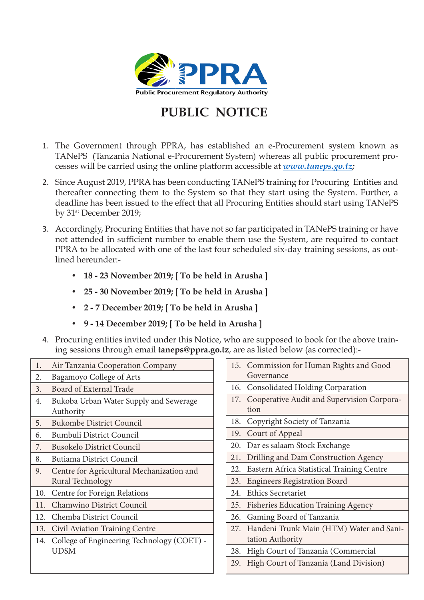

## **PUBLIC NOTICE**

- 1. The Government through PPRA, has established an e-Procurement system known as TANePS (Tanzania National e-Procurement System) whereas all public procurement processes will be carried using the online platform accessible at *www.taneps.go.tz;*
- 2. Since August 2019, PPRA has been conducting TANePS training for Procuring Entities and thereafter connecting them to the System so that they start using the System. Further, a deadline has been issued to the effect that all Procuring Entities should start using TANePS by 31st December 2019;
- 3. Accordingly, Procuring Entities that have not so far participated in TANePS training or have not attended in sufficient number to enable them use the System, are required to contact PPRA to be allocated with one of the last four scheduled six-day training sessions, as outlined hereunder:-
	- **• 18 23 November 2019; [ To be held in Arusha ]**
	- **• 25 30 November 2019; [ To be held in Arusha ]**
	- **• 2 7 December 2019; [ To be held in Arusha ]**
	- **• 9 14 December 2019; [ To be held in Arusha ]**
- 4. Procuring entities invited under this Notice, who are supposed to book for the above training sessions through email **taneps@ppra.go.tz**, are as listed below (as corrected):-

| 1.  | Air Tanzania Cooperation Company               |
|-----|------------------------------------------------|
| 2.  | Bagamoyo College of Arts                       |
| 3.  | Board of External Trade                        |
| 4.  | Bukoba Urban Water Supply and Sewerage         |
|     | Authority                                      |
| 5.  | <b>Bukombe District Council</b>                |
| 6.  | <b>Bumbuli District Council</b>                |
| 7.  | <b>Busokelo District Council</b>               |
| 8.  | Butiama District Council                       |
| 9.  | Centre for Agricultural Mechanization and      |
|     | Rural Technology                               |
| 10. | Centre for Foreign Relations                   |
| 11. | Chamwino District Council                      |
| 12. | Chemba District Council                        |
|     | 13. Civil Aviation Training Centre             |
|     | 14. College of Engineering Technology (COET) - |
|     | UDSM                                           |
|     |                                                |

|     | 15. Commission for Human Rights and Good<br>Governance |
|-----|--------------------------------------------------------|
|     | 16. Consolidated Holding Corparation                   |
| 17. | Cooperative Audit and Supervision Corpora-             |
|     | tion                                                   |
| 18. | Copyright Society of Tanzania                          |
| 19. | Court of Appeal                                        |
| 20. | Dar es salaam Stock Exchange                           |
| 21. | Drilling and Dam Construction Agency                   |
| 22. | Eastern Africa Statistical Training Centre             |
| 23. | <b>Engineers Registration Board</b>                    |
|     | 24. Ethics Secretariet                                 |
|     | 25. Fisheries Education Training Agency                |
| 26. | Gaming Board of Tanzania                               |
|     | 27. Handeni Trunk Main (HTM) Water and Sani-           |
|     | tation Authority                                       |
| 28. | High Court of Tanzania (Commercial                     |
| 29. | High Court of Tanzania (Land Division)                 |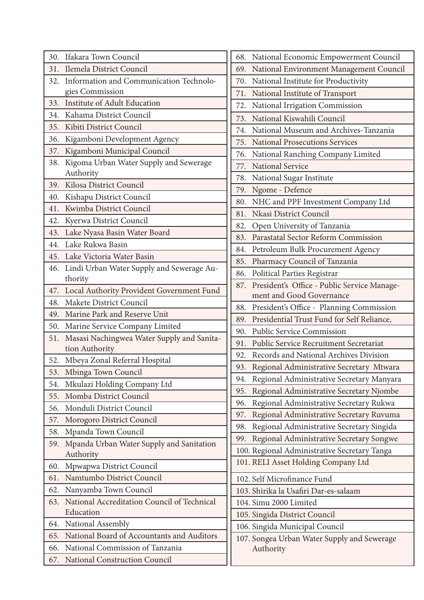| 30. Ifakara Town Council                                         | 68. National Economic Empowerment Council        |
|------------------------------------------------------------------|--------------------------------------------------|
| Ilemela District Council<br>31.                                  | 69. National Environment Management Council      |
| Information and Communication Technolo-<br>32.                   | 70. National Institute for Productivity          |
| gies Commission                                                  | National Institute of Transport<br>71.           |
| Institute of Adult Education<br>33.                              | 72. National Irrigation Commission               |
| Kahama District Council<br>34.                                   | 73. National Kiswahili Council                   |
| 35. Kibiti District Council                                      | National Museum and Archives-Tanzania<br>74.     |
| Kigamboni Development Agency<br>36.                              | 75. National Prosecutions Services               |
| Kigamboni Municipal Council<br>37.                               | 76. National Ranching Company Limited            |
| 38. Kigoma Urban Water Supply and Sewerage                       | National Service<br>77.                          |
| Authority                                                        | National Sugar Institute<br>78.                  |
| 39. Kilosa District Council                                      | Ngome - Defence<br>79.                           |
| Kishapu District Council<br>40.                                  | NHC and PPF Investment Company Ltd<br>80.        |
| Kwimba District Council<br>41.                                   | 81. Nkasi District Council                       |
| Kyerwa District Council<br>42.                                   | Open University of Tanzania<br>82.               |
| Lake Nyasa Basin Water Board<br>43.                              | 83. Parastatal Sector Reform Commission          |
| Lake Rukwa Basin<br>44.                                          | 84. Petroleum Bulk Procurement Agency            |
| 45. Lake Victoria Water Basin                                    | 85. Pharmacy Council of Tanzania                 |
| 46. Lindi Urban Water Supply and Sewerage Au-<br>thority         | 86. Political Parties Registrar                  |
| 47. Local Authority Provident Government Fund                    | 87. President's Office - Public Service Manage-  |
| Makete District Council<br>48.                                   | ment and Good Governance                         |
| 49. Marine Park and Reserve Unit                                 | 88. President's Office - Planning Commission     |
| 50.                                                              | 89. Presidential Trust Fund for Self Reliance,   |
| Marine Service Company Limited                                   | 90. Public Service Commission                    |
| 51. Masasi Nachingwea Water Supply and Sanita-<br>tion Authority | 91. Public Service Recruitment Secretariat       |
| 52. Mbeya Zonal Referral Hospital                                | 92. Records and National Archives Division       |
| 53. Mbinga Town Council                                          | 93. Regional Administrative Secretary Mtwara     |
| Mkulazi Holding Company Ltd<br>54.                               | 94. Regional Administrative Secretary Manyara    |
| Momba District Council<br>55.                                    | Regional Administrative Secretary Njombe<br>95.  |
| Monduli District Council<br>56.                                  | Regional Administrative Secretary Rukwa<br>96.   |
| Morogoro District Council<br>57.                                 | Regional Administrative Secretary Ruvuma<br>97.  |
| Mpanda Town Council<br>58.                                       | Regional Administrative Secretary Singida<br>98. |
| Mpanda Urban Water Supply and Sanitation<br>59.                  | 99. Regional Administrative Secretary Songwe     |
| Authority                                                        | 100. Regional Administrative Secretary Tanga     |
| Mpwapwa District Council<br>60.                                  | 101. RELI Asset Holding Company Ltd              |
| Namtumbo District Council<br>61.                                 | 102. Self Microfinance Fund                      |
| Nanyamba Town Council<br>62.                                     | 103. Shirika la Usafiri Dar-es-salaam            |
| 63. National Accreditation Council of Technical                  | 104. Simu 2000 Limited                           |
| Education                                                        | 105. Singida District Council                    |
| 64. National Assembly                                            | 106. Singida Municipal Council                   |
| National Board of Accountants and Auditors<br>65.                | 107. Songea Urban Water Supply and Sewerage      |
| National Commission of Tanzania<br>66.                           | Authority                                        |
| National Construction Council<br>67.                             |                                                  |